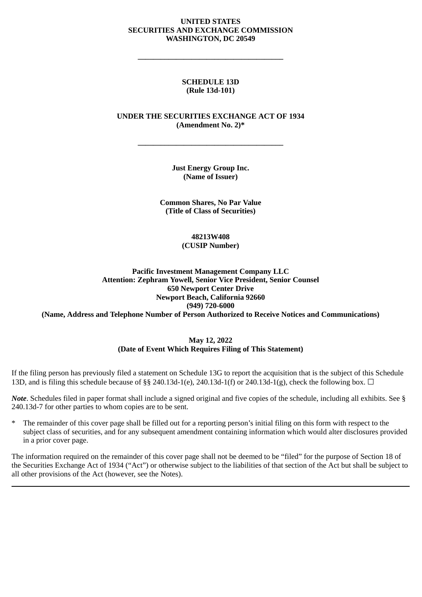#### **UNITED STATES SECURITIES AND EXCHANGE COMMISSION WASHINGTON, DC 20549**

**\_\_\_\_\_\_\_\_\_\_\_\_\_\_\_\_\_\_\_\_\_\_\_\_\_\_\_\_\_\_\_\_\_\_\_\_\_\_**

#### **SCHEDULE 13D (Rule 13d-101)**

#### **UNDER THE SECURITIES EXCHANGE ACT OF 1934 (Amendment No. 2)\***

**\_\_\_\_\_\_\_\_\_\_\_\_\_\_\_\_\_\_\_\_\_\_\_\_\_\_\_\_\_\_\_\_\_\_\_\_\_\_**

**Just Energy Group Inc. (Name of Issuer)**

**Common Shares, No Par Value (Title of Class of Securities)**

#### **48213W408 (CUSIP Number)**

## **Pacific Investment Management Company LLC Attention: Zephram Yowell, Senior Vice President, Senior Counsel 650 Newport Center Drive Newport Beach, California 92660 (949) 720-6000**

**(Name, Address and Telephone Number of Person Authorized to Receive Notices and Communications)**

#### **May 12, 2022 (Date of Event Which Requires Filing of This Statement)**

If the filing person has previously filed a statement on Schedule 13G to report the acquisition that is the subject of this Schedule 13D, and is filing this schedule because of §§ 240.13d-1(e), 240.13d-1(f) or 240.13d-1(g), check the following box.  $\Box$ 

*Note*. Schedules filed in paper format shall include a signed original and five copies of the schedule, including all exhibits. See § 240.13d-7 for other parties to whom copies are to be sent.

\* The remainder of this cover page shall be filled out for a reporting person's initial filing on this form with respect to the subject class of securities, and for any subsequent amendment containing information which would alter disclosures provided in a prior cover page.

The information required on the remainder of this cover page shall not be deemed to be "filed" for the purpose of Section 18 of the Securities Exchange Act of 1934 ("Act") or otherwise subject to the liabilities of that section of the Act but shall be subject to all other provisions of the Act (however, see the Notes).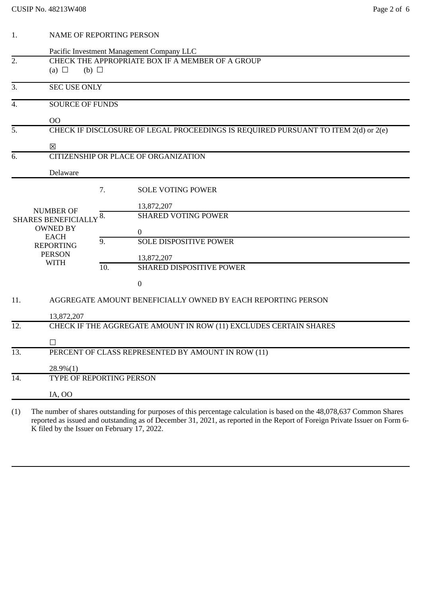| 1.  |                                                                                    | <b>NAME OF REPORTING PERSON</b> |                                                                                                                           |  |  |
|-----|------------------------------------------------------------------------------------|---------------------------------|---------------------------------------------------------------------------------------------------------------------------|--|--|
|     |                                                                                    |                                 | Pacific Investment Management Company LLC                                                                                 |  |  |
| 2.  | CHECK THE APPROPRIATE BOX IF A MEMBER OF A GROUP                                   |                                 |                                                                                                                           |  |  |
|     | (b) $\Box$<br>(a) $\Box$                                                           |                                 |                                                                                                                           |  |  |
| 3.  |                                                                                    | <b>SEC USE ONLY</b>             |                                                                                                                           |  |  |
| 4.  | <b>SOURCE OF FUNDS</b>                                                             |                                 |                                                                                                                           |  |  |
|     | 00                                                                                 |                                 |                                                                                                                           |  |  |
| 5.  | CHECK IF DISCLOSURE OF LEGAL PROCEEDINGS IS REQUIRED PURSUANT TO ITEM 2(d) or 2(e) |                                 |                                                                                                                           |  |  |
|     | X                                                                                  |                                 |                                                                                                                           |  |  |
| 6.  | CITIZENSHIP OR PLACE OF ORGANIZATION                                               |                                 |                                                                                                                           |  |  |
|     | Delaware                                                                           |                                 |                                                                                                                           |  |  |
|     |                                                                                    | 7.                              | <b>SOLE VOTING POWER</b>                                                                                                  |  |  |
|     |                                                                                    |                                 | 13,872,207                                                                                                                |  |  |
|     | <b>NUMBER OF</b><br>SHARES BENEFICIALLY 8.                                         |                                 | <b>SHARED VOTING POWER</b>                                                                                                |  |  |
|     | <b>OWNED BY</b>                                                                    |                                 | $\overline{0}$                                                                                                            |  |  |
|     | <b>EACH</b><br><b>REPORTING</b>                                                    | 9.                              | <b>SOLE DISPOSITIVE POWER</b>                                                                                             |  |  |
|     | <b>PERSON</b>                                                                      |                                 | 13,872,207                                                                                                                |  |  |
|     | <b>WITH</b>                                                                        | 10.                             | SHARED DISPOSITIVE POWER                                                                                                  |  |  |
|     |                                                                                    |                                 | $\boldsymbol{0}$                                                                                                          |  |  |
| 11. |                                                                                    |                                 | AGGREGATE AMOUNT BENEFICIALLY OWNED BY EACH REPORTING PERSON                                                              |  |  |
|     | 13,872,207                                                                         |                                 |                                                                                                                           |  |  |
| 12. | CHECK IF THE AGGREGATE AMOUNT IN ROW (11) EXCLUDES CERTAIN SHARES                  |                                 |                                                                                                                           |  |  |
|     | $\Box$                                                                             |                                 |                                                                                                                           |  |  |
| 13. | PERCENT OF CLASS REPRESENTED BY AMOUNT IN ROW (11)                                 |                                 |                                                                                                                           |  |  |
|     | $28.9\%(1)$                                                                        |                                 |                                                                                                                           |  |  |
| 14. | TYPE OF REPORTING PERSON                                                           |                                 |                                                                                                                           |  |  |
|     | IA, OO                                                                             |                                 |                                                                                                                           |  |  |
|     |                                                                                    |                                 | (1) The number of shares outstanding for purposes of this percentage calculation is based on the 48 078 637 Common Shares |  |  |

(1) The number of shares outstanding for purposes of this percentage calculation is based on the 48,078,637 Common Shares reported as issued and outstanding as of December 31, 2021, as reported in the Report of Foreign Private Issuer on Form 6- K filed by the Issuer on February 17, 2022.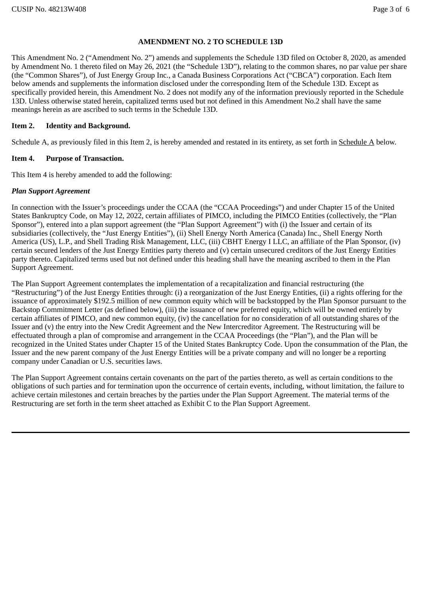## **AMENDMENT NO. 2 TO SCHEDULE 13D**

This Amendment No. 2 ("Amendment No. 2") amends and supplements the Schedule 13D filed on October 8, 2020, as amended by Amendment No. 1 thereto filed on May 26, 2021 (the "Schedule 13D"), relating to the common shares, no par value per share (the "Common Shares"), of Just Energy Group Inc., a Canada Business Corporations Act ("CBCA") corporation. Each Item below amends and supplements the information disclosed under the corresponding Item of the Schedule 13D. Except as specifically provided herein, this Amendment No. 2 does not modify any of the information previously reported in the Schedule 13D. Unless otherwise stated herein, capitalized terms used but not defined in this Amendment No.2 shall have the same meanings herein as are ascribed to such terms in the Schedule 13D.

## **Item 2. Identity and Background.**

Schedule A, as previously filed in this Item 2, is hereby amended and restated in its entirety, as set forth in Schedule A below.

## **Item 4. Purpose of Transaction.**

This Item 4 is hereby amended to add the following:

## *Plan Support Agreement*

In connection with the Issuer's proceedings under the CCAA (the "CCAA Proceedings") and under Chapter 15 of the United States Bankruptcy Code, on May 12, 2022, certain affiliates of PIMCO, including the PIMCO Entities (collectively, the "Plan Sponsor"), entered into a plan support agreement (the "Plan Support Agreement") with (i) the Issuer and certain of its subsidiaries (collectively, the "Just Energy Entities"), (ii) Shell Energy North America (Canada) Inc., Shell Energy North America (US), L.P., and Shell Trading Risk Management, LLC, (iii) CBHT Energy I LLC, an affiliate of the Plan Sponsor, (iv) certain secured lenders of the Just Energy Entities party thereto and (v) certain unsecured creditors of the Just Energy Entities party thereto. Capitalized terms used but not defined under this heading shall have the meaning ascribed to them in the Plan Support Agreement.

The Plan Support Agreement contemplates the implementation of a recapitalization and financial restructuring (the "Restructuring") of the Just Energy Entities through: (i) a reorganization of the Just Energy Entities, (ii) a rights offering for the issuance of approximately \$192.5 million of new common equity which will be backstopped by the Plan Sponsor pursuant to the Backstop Commitment Letter (as defined below), (iii) the issuance of new preferred equity, which will be owned entirely by certain affiliates of PIMCO, and new common equity, (iv) the cancellation for no consideration of all outstanding shares of the Issuer and (v) the entry into the New Credit Agreement and the New Intercreditor Agreement. The Restructuring will be effectuated through a plan of compromise and arrangement in the CCAA Proceedings (the "Plan"), and the Plan will be recognized in the United States under Chapter 15 of the United States Bankruptcy Code. Upon the consummation of the Plan, the Issuer and the new parent company of the Just Energy Entities will be a private company and will no longer be a reporting company under Canadian or U.S. securities laws.

The Plan Support Agreement contains certain covenants on the part of the parties thereto, as well as certain conditions to the obligations of such parties and for termination upon the occurrence of certain events, including, without limitation, the failure to achieve certain milestones and certain breaches by the parties under the Plan Support Agreement. The material terms of the Restructuring are set forth in the term sheet attached as Exhibit C to the Plan Support Agreement.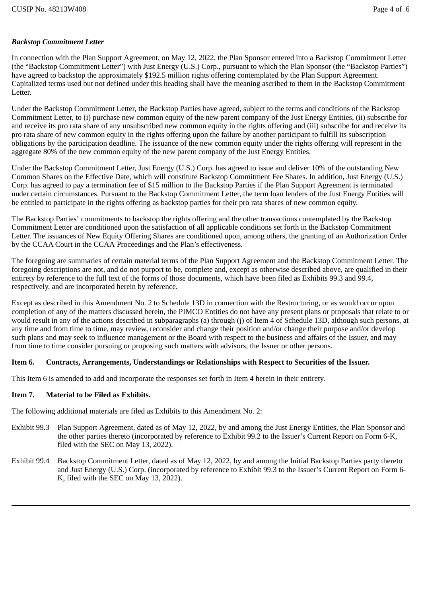# *Backstop Commitment Letter*

In connection with the Plan Support Agreement, on May 12, 2022, the Plan Sponsor entered into a Backstop Commitment Letter (the "Backstop Commitment Letter") with Just Energy (U.S.) Corp., pursuant to which the Plan Sponsor (the "Backstop Parties") have agreed to backstop the approximately \$192.5 million rights offering contemplated by the Plan Support Agreement. Capitalized terms used but not defined under this heading shall have the meaning ascribed to them in the Backstop Commitment Letter.

Under the Backstop Commitment Letter, the Backstop Parties have agreed, subject to the terms and conditions of the Backstop Commitment Letter, to (i) purchase new common equity of the new parent company of the Just Energy Entities, (ii) subscribe for and receive its pro rata share of any unsubscribed new common equity in the rights offering and (iii) subscribe for and receive its pro rata share of new common equity in the rights offering upon the failure by another participant to fulfill its subscription obligations by the participation deadline. The issuance of the new common equity under the rights offering will represent in the aggregate 80% of the new common equity of the new parent company of the Just Energy Entities.

Under the Backstop Commitment Letter, Just Energy (U.S.) Corp. has agreed to issue and deliver 10% of the outstanding New Common Shares on the Effective Date, which will constitute Backstop Commitment Fee Shares. In addition, Just Energy (U.S.) Corp. has agreed to pay a termination fee of \$15 million to the Backstop Parties if the Plan Support Agreement is terminated under certain circumstances. Pursuant to the Backstop Commitment Letter, the term loan lenders of the Just Energy Entities will be entitled to participate in the rights offering as backstop parties for their pro rata shares of new common equity.

The Backstop Parties' commitments to backstop the rights offering and the other transactions contemplated by the Backstop Commitment Letter are conditioned upon the satisfaction of all applicable conditions set forth in the Backstop Commitment Letter. The issuances of New Equity Offering Shares are conditioned upon, among others, the granting of an Authorization Order by the CCAA Court in the CCAA Proceedings and the Plan's effectiveness.

The foregoing are summaries of certain material terms of the Plan Support Agreement and the Backstop Commitment Letter. The foregoing descriptions are not, and do not purport to be, complete and, except as otherwise described above, are qualified in their entirety by reference to the full text of the forms of those documents, which have been filed as Exhibits 99.3 and 99.4, respectively, and are incorporated herein by reference.

Except as described in this Amendment No. 2 to Schedule 13D in connection with the Restructuring, or as would occur upon completion of any of the matters discussed herein, the PIMCO Entities do not have any present plans or proposals that relate to or would result in any of the actions described in subparagraphs (a) through (j) of Item 4 of Schedule 13D, although such persons, at any time and from time to time, may review, reconsider and change their position and/or change their purpose and/or develop such plans and may seek to influence management or the Board with respect to the business and affairs of the Issuer, and may from time to time consider pursuing or proposing such matters with advisors, the Issuer or other persons.

# **Item 6. Contracts, Arrangements, Understandings or Relationships with Respect to Securities of the Issuer.**

This Item 6 is amended to add and incorporate the responses set forth in Item 4 herein in their entirety.

# **Item 7. Material to be Filed as Exhibits.**

The following additional materials are filed as Exhibits to this Amendment No. 2:

- Exhibit 99.3 Plan Support Agreement, dated as of May 12, 2022, by and among the Just Energy Entities, the Plan Sponsor and the other parties thereto (incorporated by reference to Exhibit 99.2 to the Issuer's Current Report on Form 6-K, filed with the SEC on May 13, 2022).
- Exhibit 99.4 Backstop Commitment Letter, dated as of May 12, 2022, by and among the Initial Backstop Parties party thereto and Just Energy (U.S.) Corp. (incorporated by reference to Exhibit 99.3 to the Issuer's Current Report on Form 6- K, filed with the SEC on May 13, 2022).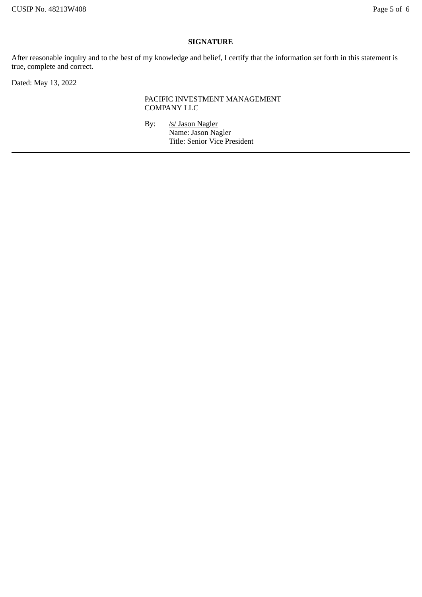## **SIGNATURE**

After reasonable inquiry and to the best of my knowledge and belief, I certify that the information set forth in this statement is true, complete and correct.

Dated: May 13, 2022

## PACIFIC INVESTMENT MANAGEMENT COMPANY LLC

By: /s/ Jason Nagler Name: Jason Nagler Title: Senior Vice President